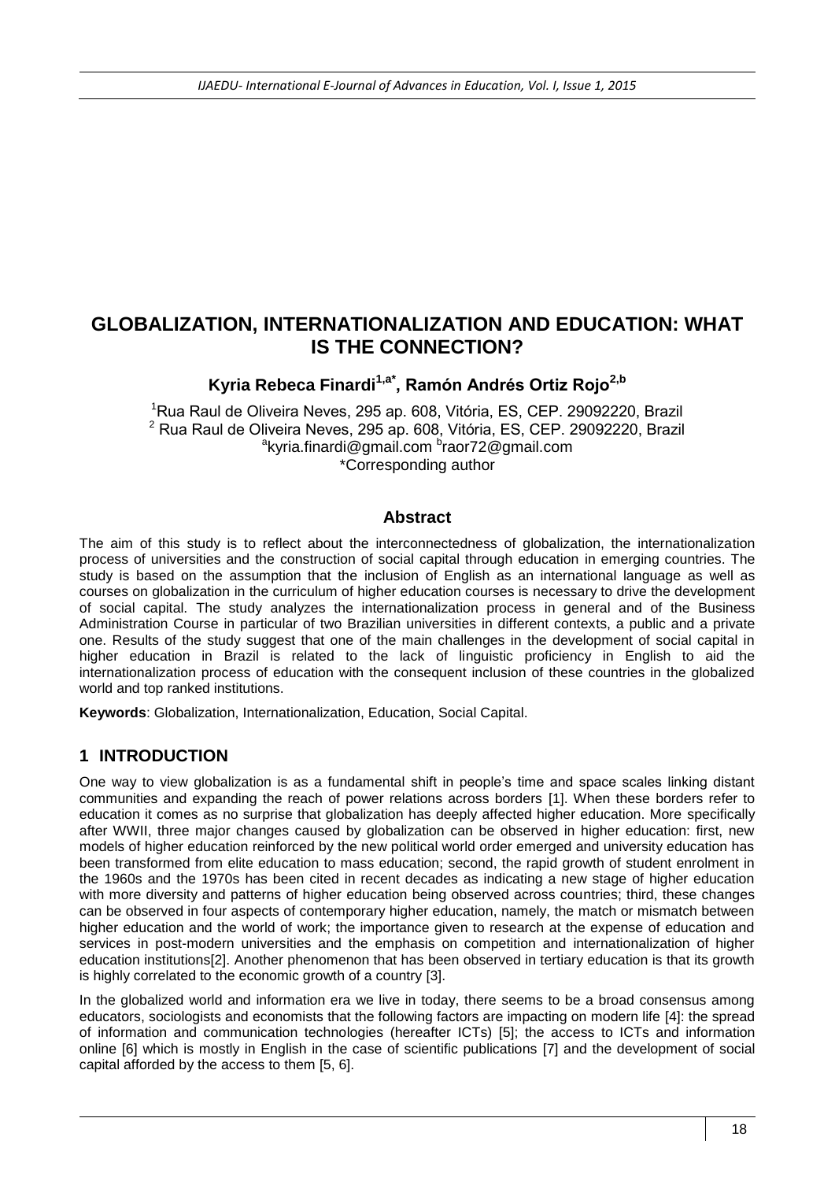# **GLOBALIZATION, INTERNATIONALIZATION AND EDUCATION: WHAT IS THE CONNECTION?**

**Kyria Rebeca Finardi1,a\*, Ramón Andrés Ortiz Rojo2,b**

<sup>1</sup>Rua Raul de Oliveira Neves, 295 ap. 608, Vitória, ES, CEP. 29092220, Brazil <sup>2</sup> Rua Raul de Oliveira Neves, 295 ap. 608, Vitória, ES, CEP. 29092220, Brazil <sup>a</sup>kyria.finardi@gmail.com <sup>b</sup>raor72@gmail.com \*Corresponding author

#### **Abstract**

The aim of this study is to reflect about the interconnectedness of globalization, the internationalization process of universities and the construction of social capital through education in emerging countries. The study is based on the assumption that the inclusion of English as an international language as well as courses on globalization in the curriculum of higher education courses is necessary to drive the development of social capital. The study analyzes the internationalization process in general and of the Business Administration Course in particular of two Brazilian universities in different contexts, a public and a private one. Results of the study suggest that one of the main challenges in the development of social capital in higher education in Brazil is related to the lack of linguistic proficiency in English to aid the internationalization process of education with the consequent inclusion of these countries in the globalized world and top ranked institutions.

**Keywords**: Globalization, Internationalization, Education, Social Capital.

### **1 INTRODUCTION**

One way to view globalization is as a fundamental shift in people's time and space scales linking distant communities and expanding the reach of power relations across borders [1]. When these borders refer to education it comes as no surprise that globalization has deeply affected higher education. More specifically after WWII, three major changes caused by globalization can be observed in higher education: first, new models of higher education reinforced by the new political world order emerged and university education has been transformed from elite education to mass education; second, the rapid growth of student enrolment in the 1960s and the 1970s has been cited in recent decades as indicating a new stage of higher education with more diversity and patterns of higher education being observed across countries; third, these changes can be observed in four aspects of contemporary higher education, namely, the match or mismatch between higher education and the world of work; the importance given to research at the expense of education and services in post-modern universities and the emphasis on competition and internationalization of higher education institutions[2]. Another phenomenon that has been observed in tertiary education is that its growth is highly correlated to the economic growth of a country [3].

In the globalized world and information era we live in today, there seems to be a broad consensus among educators, sociologists and economists that the following factors are impacting on modern life [4]: the spread of information and communication technologies (hereafter ICTs) [5]; the access to ICTs and information online [6] which is mostly in English in the case of scientific publications [7] and the development of social capital afforded by the access to them [5, 6].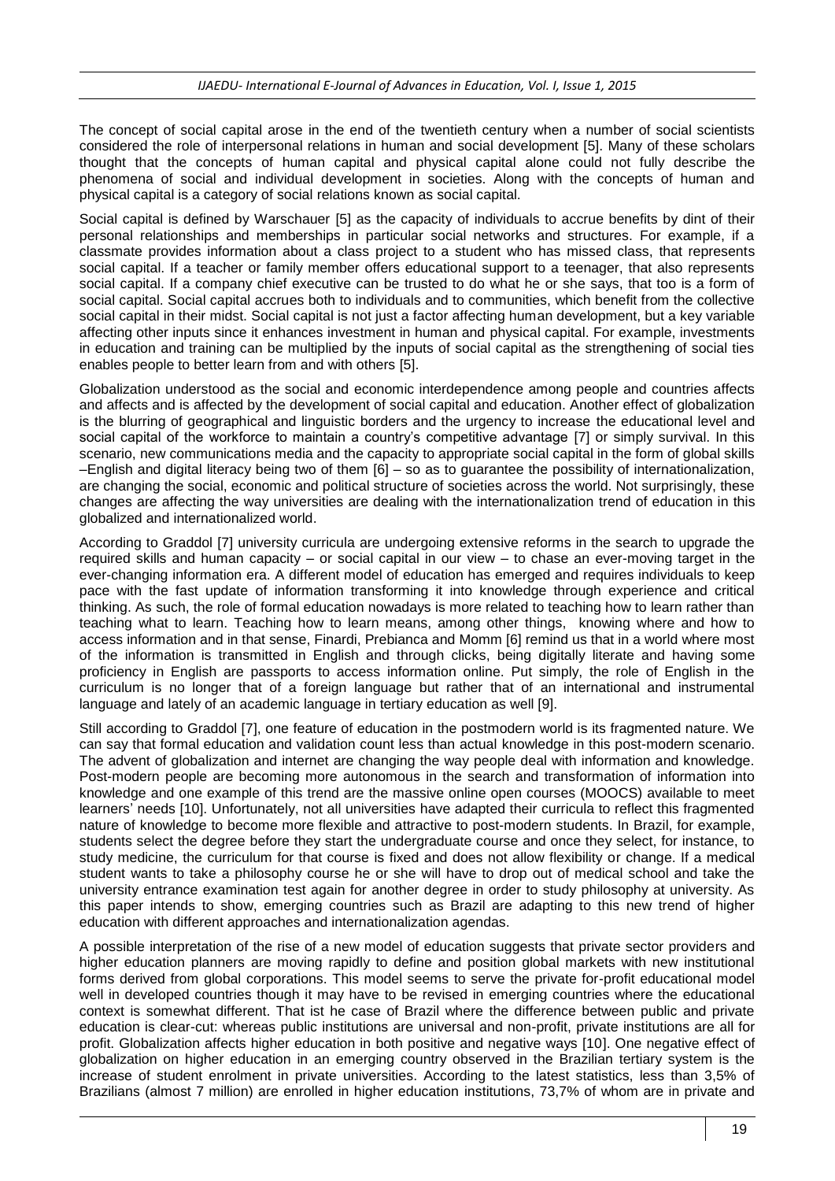The concept of social capital arose in the end of the twentieth century when a number of social scientists considered the role of interpersonal relations in human and social development [5]. Many of these scholars thought that the concepts of human capital and physical capital alone could not fully describe the phenomena of social and individual development in societies. Along with the concepts of human and physical capital is a category of social relations known as social capital.

Social capital is defined by Warschauer [5] as the capacity of individuals to accrue benefits by dint of their personal relationships and memberships in particular social networks and structures. For example, if a classmate provides information about a class project to a student who has missed class, that represents social capital. If a teacher or family member offers educational support to a teenager, that also represents social capital. If a company chief executive can be trusted to do what he or she says, that too is a form of social capital. Social capital accrues both to individuals and to communities, which benefit from the collective social capital in their midst. Social capital is not just a factor affecting human development, but a key variable affecting other inputs since it enhances investment in human and physical capital. For example, investments in education and training can be multiplied by the inputs of social capital as the strengthening of social ties enables people to better learn from and with others [5].

Globalization understood as the social and economic interdependence among people and countries affects and affects and is affected by the development of social capital and education. Another effect of globalization is the blurring of geographical and linguistic borders and the urgency to increase the educational level and social capital of the workforce to maintain a country's competitive advantage [7] or simply survival. In this scenario, new communications media and the capacity to appropriate social capital in the form of global skills –English and digital literacy being two of them [6] – so as to guarantee the possibility of internationalization, are changing the social, economic and political structure of societies across the world. Not surprisingly, these changes are affecting the way universities are dealing with the internationalization trend of education in this globalized and internationalized world.

According to Graddol [7] university curricula are undergoing extensive reforms in the search to upgrade the required skills and human capacity – or social capital in our view – to chase an ever-moving target in the ever-changing information era. A different model of education has emerged and requires individuals to keep pace with the fast update of information transforming it into knowledge through experience and critical thinking. As such, the role of formal education nowadays is more related to teaching how to learn rather than teaching what to learn. Teaching how to learn means, among other things, knowing where and how to access information and in that sense, Finardi, Prebianca and Momm [6] remind us that in a world where most of the information is transmitted in English and through clicks, being digitally literate and having some proficiency in English are passports to access information online. Put simply, the role of English in the curriculum is no longer that of a foreign language but rather that of an international and instrumental language and lately of an academic language in tertiary education as well [9].

Still according to Graddol [7], one feature of education in the postmodern world is its fragmented nature. We can say that formal education and validation count less than actual knowledge in this post-modern scenario. The advent of globalization and internet are changing the way people deal with information and knowledge. Post-modern people are becoming more autonomous in the search and transformation of information into knowledge and one example of this trend are the massive online open courses (MOOCS) available to meet learners' needs [10]. Unfortunately, not all universities have adapted their curricula to reflect this fragmented nature of knowledge to become more flexible and attractive to post-modern students. In Brazil, for example, students select the degree before they start the undergraduate course and once they select, for instance, to study medicine, the curriculum for that course is fixed and does not allow flexibility or change. If a medical student wants to take a philosophy course he or she will have to drop out of medical school and take the university entrance examination test again for another degree in order to study philosophy at university. As this paper intends to show, emerging countries such as Brazil are adapting to this new trend of higher education with different approaches and internationalization agendas.

A possible interpretation of the rise of a new model of education suggests that private sector providers and higher education planners are moving rapidly to define and position global markets with new institutional forms derived from global corporations. This model seems to serve the private for-profit educational model well in developed countries though it may have to be revised in emerging countries where the educational context is somewhat different. That ist he case of Brazil where the difference between public and private education is clear-cut: whereas public institutions are universal and non-profit, private institutions are all for profit. Globalization affects higher education in both positive and negative ways [10]. One negative effect of globalization on higher education in an emerging country observed in the Brazilian tertiary system is the increase of student enrolment in private universities. According to the latest statistics, less than 3,5% of Brazilians (almost 7 million) are enrolled in higher education institutions, 73,7% of whom are in private and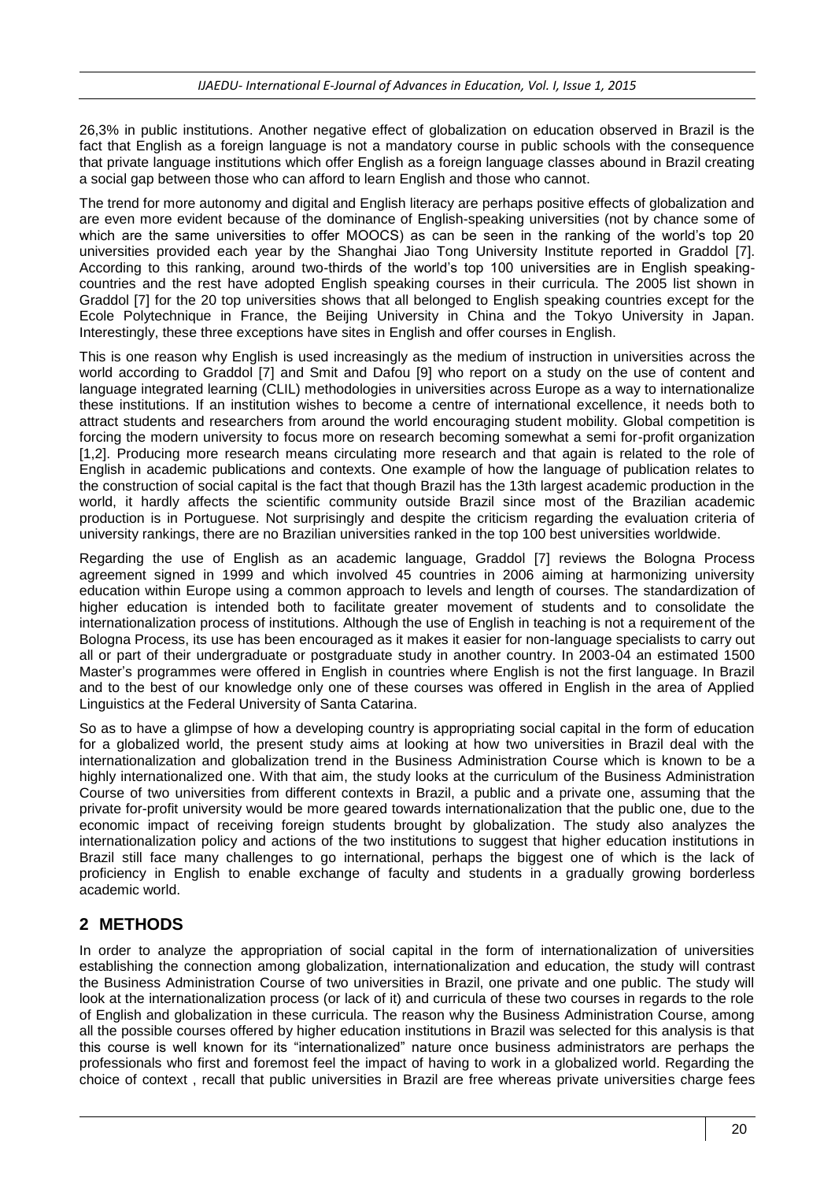26,3% in public institutions. Another negative effect of globalization on education observed in Brazil is the fact that English as a foreign language is not a mandatory course in public schools with the consequence that private language institutions which offer English as a foreign language classes abound in Brazil creating a social gap between those who can afford to learn English and those who cannot.

The trend for more autonomy and digital and English literacy are perhaps positive effects of globalization and are even more evident because of the dominance of English-speaking universities (not by chance some of which are the same universities to offer MOOCS) as can be seen in the ranking of the world's top 20 universities provided each year by the Shanghai Jiao Tong University Institute reported in Graddol [7]. According to this ranking, around two-thirds of the world's top 100 universities are in English speakingcountries and the rest have adopted English speaking courses in their curricula. The 2005 list shown in Graddol [7] for the 20 top universities shows that all belonged to English speaking countries except for the Ecole Polytechnique in France, the Beijing University in China and the Tokyo University in Japan. Interestingly, these three exceptions have sites in English and offer courses in English.

This is one reason why English is used increasingly as the medium of instruction in universities across the world according to Graddol [7] and Smit and Dafou [9] who report on a study on the use of content and language integrated learning (CLIL) methodologies in universities across Europe as a way to internationalize these institutions. If an institution wishes to become a centre of international excellence, it needs both to attract students and researchers from around the world encouraging student mobility. Global competition is forcing the modern university to focus more on research becoming somewhat a semi for-profit organization [1,2]. Producing more research means circulating more research and that again is related to the role of English in academic publications and contexts. One example of how the language of publication relates to the construction of social capital is the fact that though Brazil has the 13th largest academic production in the world, it hardly affects the scientific community outside Brazil since most of the Brazilian academic production is in Portuguese. Not surprisingly and despite the criticism regarding the evaluation criteria of university rankings, there are no Brazilian universities ranked in the top 100 best universities worldwide.

Regarding the use of English as an academic language, Graddol [7] reviews the Bologna Process agreement signed in 1999 and which involved 45 countries in 2006 aiming at harmonizing university education within Europe using a common approach to levels and length of courses. The standardization of higher education is intended both to facilitate greater movement of students and to consolidate the internationalization process of institutions. Although the use of English in teaching is not a requirement of the Bologna Process, its use has been encouraged as it makes it easier for non-language specialists to carry out all or part of their undergraduate or postgraduate study in another country. In 2003-04 an estimated 1500 Master's programmes were offered in English in countries where English is not the first language. In Brazil and to the best of our knowledge only one of these courses was offered in English in the area of Applied Linguistics at the Federal University of Santa Catarina.

So as to have a glimpse of how a developing country is appropriating social capital in the form of education for a globalized world, the present study aims at looking at how two universities in Brazil deal with the internationalization and globalization trend in the Business Administration Course which is known to be a highly internationalized one. With that aim, the study looks at the curriculum of the Business Administration Course of two universities from different contexts in Brazil, a public and a private one, assuming that the private for-profit university would be more geared towards internationalization that the public one, due to the economic impact of receiving foreign students brought by globalization. The study also analyzes the internationalization policy and actions of the two institutions to suggest that higher education institutions in Brazil still face many challenges to go international, perhaps the biggest one of which is the lack of proficiency in English to enable exchange of faculty and students in a gradually growing borderless academic world.

## **2 METHODS**

In order to analyze the appropriation of social capital in the form of internationalization of universities establishing the connection among globalization, internationalization and education, the study will contrast the Business Administration Course of two universities in Brazil, one private and one public. The study will look at the internationalization process (or lack of it) and curricula of these two courses in regards to the role of English and globalization in these curricula. The reason why the Business Administration Course, among all the possible courses offered by higher education institutions in Brazil was selected for this analysis is that this course is well known for its "internationalized" nature once business administrators are perhaps the professionals who first and foremost feel the impact of having to work in a globalized world. Regarding the choice of context , recall that public universities in Brazil are free whereas private universities charge fees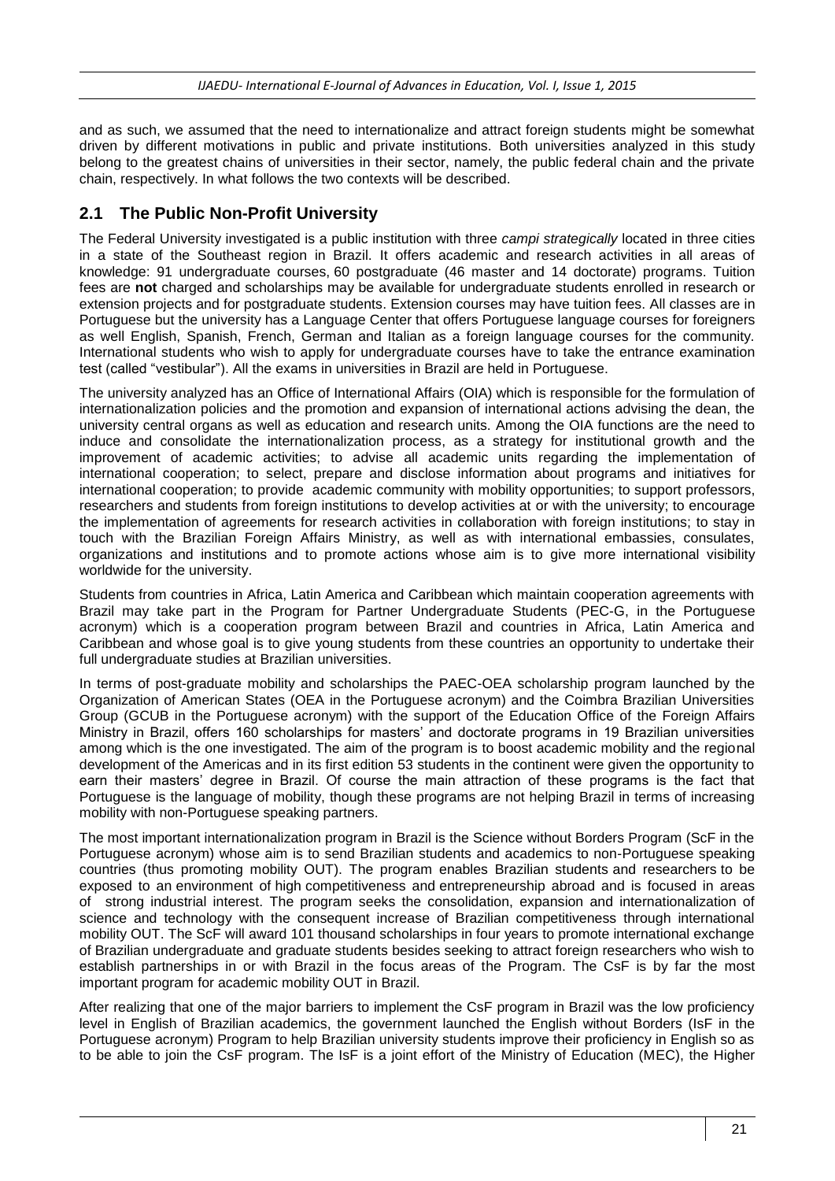and as such, we assumed that the need to internationalize and attract foreign students might be somewhat driven by different motivations in public and private institutions. Both universities analyzed in this study belong to the greatest chains of universities in their sector, namely, the public federal chain and the private chain, respectively. In what follows the two contexts will be described.

### **2.1 The Public Non-Profit University**

The Federal University investigated is a public institution with three *campi strategically* located in three cities in a state of the Southeast region in Brazil. It offers academic and research activities in all areas of knowledge: 91 undergraduate courses, 60 postgraduate (46 master and 14 doctorate) programs. Tuition fees are **not** charged and scholarships may be available for undergraduate students enrolled in research or extension projects and for postgraduate students. Extension courses may have tuition fees. All classes are in Portuguese but the university has a Language Center that offers Portuguese language courses for foreigners as well English, Spanish, French, German and Italian as a foreign language courses for the community. International students who wish to apply for undergraduate courses have to take the entrance examination test (called "vestibular"). All the exams in universities in Brazil are held in Portuguese.

The university analyzed has an Office of International Affairs (OIA) which is responsible for the formulation of internationalization policies and the promotion and expansion of international actions advising the dean, the university central organs as well as education and research units. Among the OIA functions are the need to induce and consolidate the internationalization process, as a strategy for institutional growth and the improvement of academic activities; to advise all academic units regarding the implementation of international cooperation; to select, prepare and disclose information about programs and initiatives for international cooperation; to provide academic community with mobility opportunities; to support professors, researchers and students from foreign institutions to develop activities at or with the university; to encourage the implementation of agreements for research activities in collaboration with foreign institutions; to stay in touch with the Brazilian Foreign Affairs Ministry, as well as with international embassies, consulates, organizations and institutions and to promote actions whose aim is to give more international visibility worldwide for the university.

Students from countries in Africa, Latin America and Caribbean which maintain cooperation agreements with Brazil may take part in the Program for Partner Undergraduate Students (PEC-G, in the Portuguese acronym) which is a cooperation program between Brazil and countries in Africa, Latin America and Caribbean and whose goal is to give young students from these countries an opportunity to undertake their full undergraduate studies at Brazilian universities.

In terms of post-graduate mobility and scholarships the PAEC-OEA scholarship program launched by the Organization of American States (OEA in the Portuguese acronym) and the Coimbra Brazilian Universities Group (GCUB in the Portuguese acronym) with the support of the Education Office of the Foreign Affairs Ministry in Brazil, offers 160 scholarships for masters' and doctorate programs in 19 Brazilian universities among which is the one investigated. The aim of the program is to boost academic mobility and the regional development of the Americas and in its first edition 53 students in the continent were given the opportunity to earn their masters' degree in Brazil. Of course the main attraction of these programs is the fact that Portuguese is the language of mobility, though these programs are not helping Brazil in terms of increasing mobility with non-Portuguese speaking partners.

The most important internationalization program in Brazil is the Science without Borders Program (ScF in the Portuguese acronym) whose aim is to send Brazilian students and academics to non-Portuguese speaking countries (thus promoting mobility OUT). The program enables Brazilian students and researchers to be exposed to an environment of high competitiveness and entrepreneurship abroad and is focused in areas of strong industrial interest. The program seeks the consolidation, expansion and internationalization of science and technology with the consequent increase of Brazilian competitiveness through international mobility OUT. The ScF will award 101 thousand scholarships in four years to promote international exchange of Brazilian undergraduate and graduate students besides seeking to attract foreign researchers who wish to establish partnerships in or with Brazil in the focus areas of the Program. The CsF is by far the most important program for academic mobility OUT in Brazil.

After realizing that one of the major barriers to implement the CsF program in Brazil was the low proficiency level in English of Brazilian academics, the government launched the English without Borders (IsF in the Portuguese acronym) Program to help Brazilian university students improve their proficiency in English so as to be able to join the CsF program. The IsF is a joint effort of the Ministry of Education (MEC), the Higher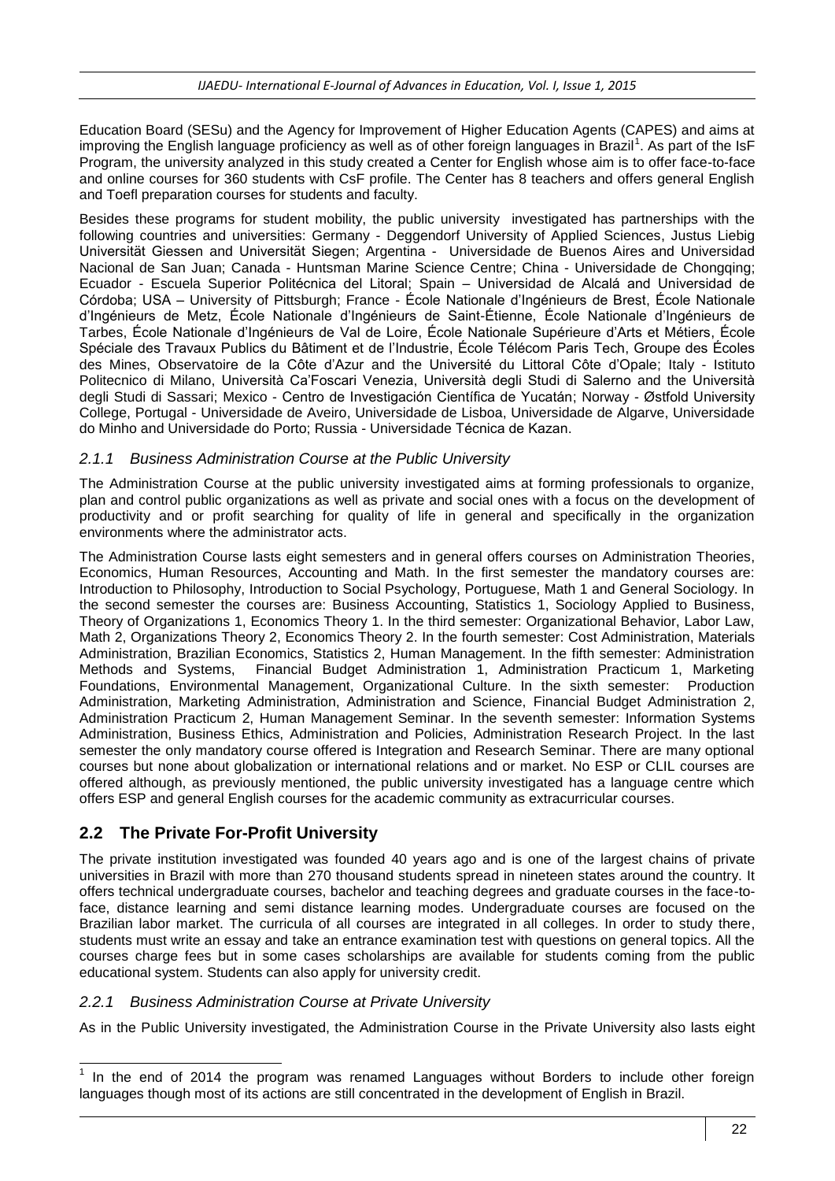Education Board (SESu) and the Agency for Improvement of Higher Education Agents (CAPES) and aims at improving the English language proficiency as well as of other foreign languages in Brazil<sup>1</sup>. As part of the IsF Program, the university analyzed in this study created a Center for English whose aim is to offer face-to-face and online courses for 360 students with CsF profile. The Center has 8 teachers and offers general English and Toefl preparation courses for students and faculty.

Besides these programs for student mobility, the public university investigated has partnerships with the following countries and universities: Germany - [Deggendorf University of Applied Sciences,](http://www.fh-deggendorf.de/de) [Justus Liebig](http://www.uni-giessen.de/cms/)  [Universität Giessen](http://www.uni-giessen.de/cms/) and [Universität Siegen;](http://www.uni-siegen.de/start/) Argentina - Universidade de Buenos Aires and Universidad Nacional de San Juan; Canada - [Huntsman Marine Science Centre;](http://www.huntsmanmarine.ca/) China - [Universidade de Chongqing;](http://international.cqu.edu.cn/) Ecuador - [Escuela Superior Politécnica del Litoral;](http://www.espol.edu.ec/) Spain – Universidad de Alcalá and Universidad de Córdoba; USA – University of Pittsburgh; France - [École Nationale d'Ingénieurs de Brest,](http://www.enib.fr/) [École Nationale](http://www.enim.fr/portalenim/)  [d'Ingénieurs de Metz,](http://www.enim.fr/portalenim/) [École Nationale d'Ingénieurs de Saint-Étienne,](http://www.enise.fr/) [École Nationale d'Ingénieurs de](http://www.enit.fr/fr/index.html)  [Tarbes,](http://www.enit.fr/fr/index.html) [École Nationale d'Ingénieurs de Val de Loire,](http://www.enivl.fr/enivl/) [École Nationale Supérieure d'Arts et Métiers,](http://www.ensam.fr/fr/) [École](http://www.estp.fr/)  [Spéciale des Travaux Publics du Bâtiment et de l'Industrie,](http://www.estp.fr/) [École Télécom Paris Tech,](http://www.telecom-paristech.fr/) [Groupe des Écoles](http://www.gemtech.fr/)  [des Mines,](http://www.gemtech.fr/) [Observatoire de la Côte d'Azur](https://www.oca.eu/) and the [Université du Littoral Côte d'Opale;](http://www.univ-littoral.fr/) Italy - [Istituto](http://www.polimi.it/)  [Politecnico di Milano,](http://www.polimi.it/) [Università Ca'Foscari Venezia,](http://www.unive.it/nqcontent.cfm?a_id=1) [Università degli Studi di Salerno](http://www.unisa.it/) and the [Università](http://www.uniss.it/php/home.php)  [degli Studi di Sassari;](http://www.uniss.it/php/home.php) Mexico - [Centro de Investigación Científica de Yucatán;](http://www.cicy.mx/) Norway - [Østfold University](http://www.hiof.no/eng/english/home&PHPSESSID=bemuulcp2mna3fnj38g9i73qt5)  [College,](http://www.hiof.no/eng/english/home&PHPSESSID=bemuulcp2mna3fnj38g9i73qt5) Portugal - [Universidade de Aveiro,](http://www.ua.pt/) [Universidade de Lisboa,](http://www.ul.pt/) Universidade de Algarve, Universidade do Minho and Universidade do Porto; Russia - [Universidade Técnica de Kazan.](http://www.kai.ru/en/)

#### *2.1.1 Business Administration Course at the Public University*

The Administration Course at the public university investigated aims at forming professionals to organize, plan and control public organizations as well as private and social ones with a focus on the development of productivity and or profit searching for quality of life in general and specifically in the organization environments where the administrator acts.

The Administration Course lasts eight semesters and in general offers courses on Administration Theories, Economics, Human Resources, Accounting and Math. In the first semester the mandatory courses are: Introduction to Philosophy, Introduction to Social Psychology, Portuguese, Math 1 and General Sociology. In the second semester the courses are: Business Accounting, Statistics 1, Sociology Applied to Business, Theory of Organizations 1, Economics Theory 1. In the third semester: Organizational Behavior, Labor Law, Math 2, Organizations Theory 2, Economics Theory 2. In the fourth semester: Cost Administration, Materials Administration, Brazilian Economics, Statistics 2, Human Management. In the fifth semester: Administration Methods and Systems, Financial Budget Administration 1, Administration Practicum 1, Marketing Foundations, Environmental Management, Organizational Culture. In the sixth semester: Production Administration, Marketing Administration, Administration and Science, Financial Budget Administration 2, Administration Practicum 2, Human Management Seminar. In the seventh semester: Information Systems Administration, Business Ethics, Administration and Policies, Administration Research Project. In the last semester the only mandatory course offered is Integration and Research Seminar. There are many optional courses but none about globalization or international relations and or market. No ESP or CLIL courses are offered although, as previously mentioned, the public university investigated has a language centre which offers ESP and general English courses for the academic community as extracurricular courses.

## **2.2 The Private For-Profit University**

The private institution investigated was founded 40 years ago and is one of the largest chains of private universities in Brazil with more than 270 thousand students spread in nineteen states around the country. It offers technical undergraduate courses, bachelor and teaching degrees and graduate courses in the face-toface, distance learning and semi distance learning modes. Undergraduate courses are focused on the Brazilian labor market. The curricula of all courses are integrated in all colleges. In order to study there, students must write an essay and take an entrance examination test with questions on general topics. All the courses charge fees but in some cases scholarships are available for students coming from the public educational system. Students can also apply for university credit.

#### *2.2.1 Business Administration Course at Private University*

As in the Public University investigated, the Administration Course in the Private University also lasts eight

TERT THE TRIM THE TRIM THE THE THE THE THE THE THE THE TOTAL THE THE TOTAL THE TOTAL THE TOTAL THE TOTAL THE TOTAL THE TOTAL THE TOTAL THE TOTAL THE TOTAL THE TOTAL THE TOTAL THE TOTAL THE TOTAL THE TOTAL THE TOTAL THE TOT languages though most of its actions are still concentrated in the development of English in Brazil.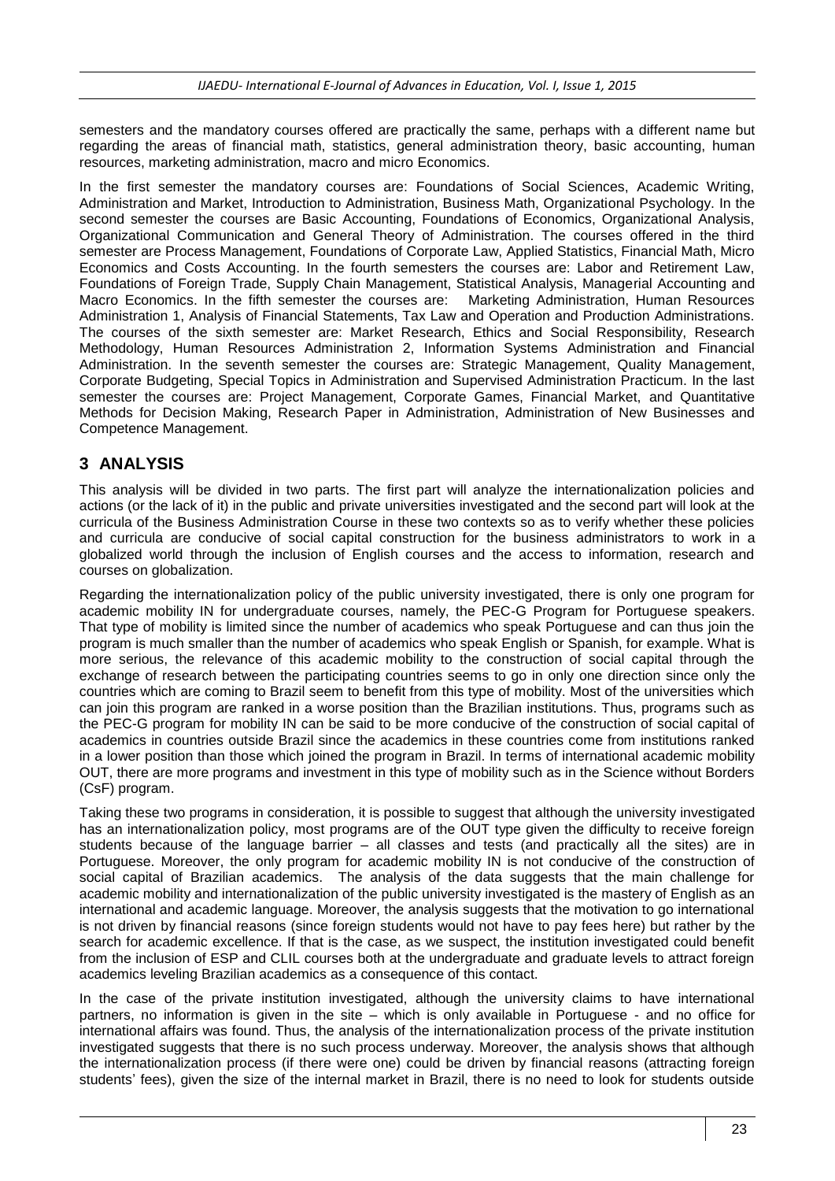semesters and the mandatory courses offered are practically the same, perhaps with a different name but regarding the areas of financial math, statistics, general administration theory, basic accounting, human resources, marketing administration, macro and micro Economics.

In the first semester the mandatory courses are: Foundations of Social Sciences, Academic Writing, Administration and Market, Introduction to Administration, Business Math, Organizational Psychology. In the second semester the courses are Basic Accounting, Foundations of Economics, Organizational Analysis, Organizational Communication and General Theory of Administration. The courses offered in the third semester are Process Management, Foundations of Corporate Law, Applied Statistics, Financial Math, Micro Economics and Costs Accounting. In the fourth semesters the courses are: Labor and Retirement Law, Foundations of Foreign Trade, Supply Chain Management, Statistical Analysis, Managerial Accounting and Macro Economics. In the fifth semester the courses are: Marketing Administration, Human Resources Administration 1, Analysis of Financial Statements, Tax Law and Operation and Production Administrations. The courses of the sixth semester are: Market Research, Ethics and Social Responsibility, Research Methodology, Human Resources Administration 2, Information Systems Administration and Financial Administration. In the seventh semester the courses are: Strategic Management, Quality Management, Corporate Budgeting, Special Topics in Administration and Supervised Administration Practicum. In the last semester the courses are: Project Management, Corporate Games, Financial Market, and Quantitative Methods for Decision Making, Research Paper in Administration, Administration of New Businesses and Competence Management.

### **3 ANALYSIS**

This analysis will be divided in two parts. The first part will analyze the internationalization policies and actions (or the lack of it) in the public and private universities investigated and the second part will look at the curricula of the Business Administration Course in these two contexts so as to verify whether these policies and curricula are conducive of social capital construction for the business administrators to work in a globalized world through the inclusion of English courses and the access to information, research and courses on globalization.

Regarding the internationalization policy of the public university investigated, there is only one program for academic mobility IN for undergraduate courses, namely, the PEC-G Program for Portuguese speakers. That type of mobility is limited since the number of academics who speak Portuguese and can thus join the program is much smaller than the number of academics who speak English or Spanish, for example. What is more serious, the relevance of this academic mobility to the construction of social capital through the exchange of research between the participating countries seems to go in only one direction since only the countries which are coming to Brazil seem to benefit from this type of mobility. Most of the universities which can join this program are ranked in a worse position than the Brazilian institutions. Thus, programs such as the PEC-G program for mobility IN can be said to be more conducive of the construction of social capital of academics in countries outside Brazil since the academics in these countries come from institutions ranked in a lower position than those which joined the program in Brazil. In terms of international academic mobility OUT, there are more programs and investment in this type of mobility such as in the Science without Borders (CsF) program.

Taking these two programs in consideration, it is possible to suggest that although the university investigated has an internationalization policy, most programs are of the OUT type given the difficulty to receive foreign students because of the language barrier – all classes and tests (and practically all the sites) are in Portuguese. Moreover, the only program for academic mobility IN is not conducive of the construction of social capital of Brazilian academics. The analysis of the data suggests that the main challenge for academic mobility and internationalization of the public university investigated is the mastery of English as an international and academic language. Moreover, the analysis suggests that the motivation to go international is not driven by financial reasons (since foreign students would not have to pay fees here) but rather by the search for academic excellence. If that is the case, as we suspect, the institution investigated could benefit from the inclusion of ESP and CLIL courses both at the undergraduate and graduate levels to attract foreign academics leveling Brazilian academics as a consequence of this contact.

In the case of the private institution investigated, although the university claims to have international partners, no information is given in the site – which is only available in Portuguese - and no office for international affairs was found. Thus, the analysis of the internationalization process of the private institution investigated suggests that there is no such process underway. Moreover, the analysis shows that although the internationalization process (if there were one) could be driven by financial reasons (attracting foreign students' fees), given the size of the internal market in Brazil, there is no need to look for students outside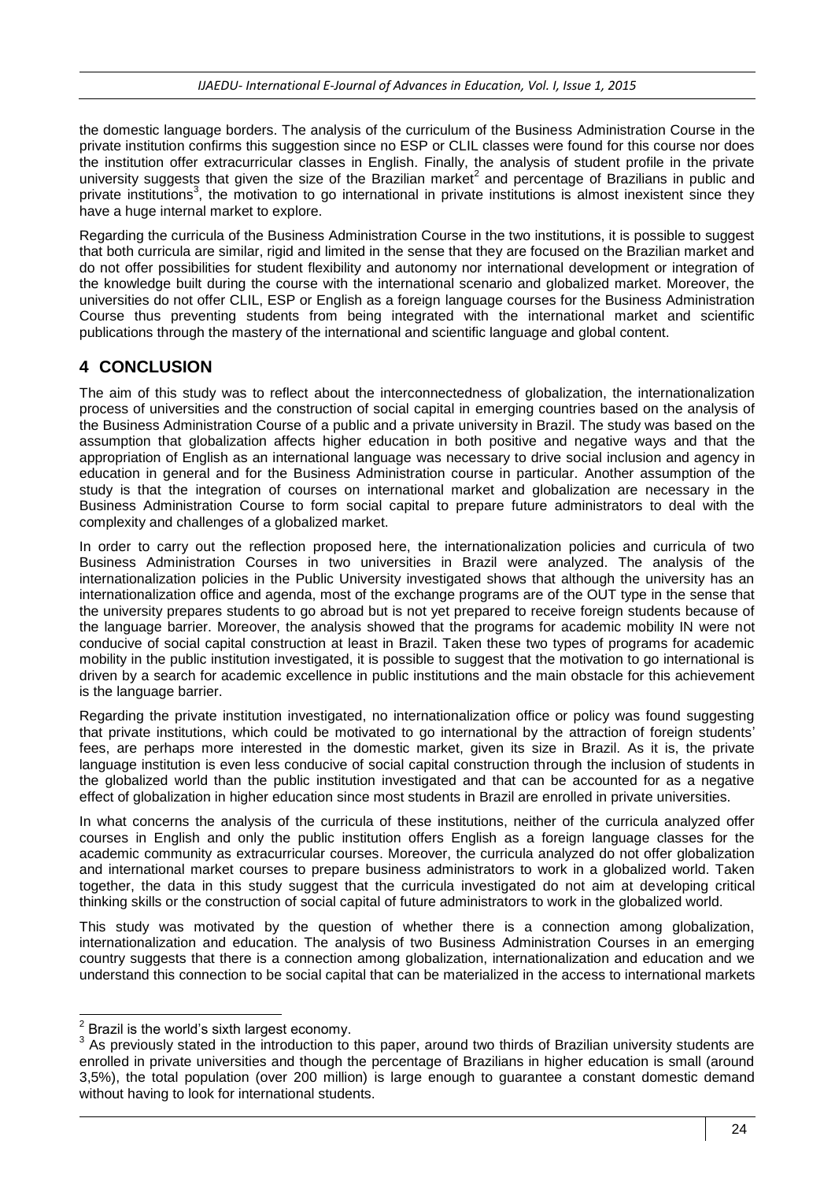the domestic language borders. The analysis of the curriculum of the Business Administration Course in the private institution confirms this suggestion since no ESP or CLIL classes were found for this course nor does the institution offer extracurricular classes in English. Finally, the analysis of student profile in the private university suggests that given the size of the Brazilian market<sup>2</sup> and percentage of Brazilians in public and private institutions<sup>3</sup>, the motivation to go international in private institutions is almost inexistent since they have a huge internal market to explore.

Regarding the curricula of the Business Administration Course in the two institutions, it is possible to suggest that both curricula are similar, rigid and limited in the sense that they are focused on the Brazilian market and do not offer possibilities for student flexibility and autonomy nor international development or integration of the knowledge built during the course with the international scenario and globalized market. Moreover, the universities do not offer CLIL, ESP or English as a foreign language courses for the Business Administration Course thus preventing students from being integrated with the international market and scientific publications through the mastery of the international and scientific language and global content.

## **4 CONCLUSION**

The aim of this study was to reflect about the interconnectedness of globalization, the internationalization process of universities and the construction of social capital in emerging countries based on the analysis of the Business Administration Course of a public and a private university in Brazil. The study was based on the assumption that globalization affects higher education in both positive and negative ways and that the appropriation of English as an international language was necessary to drive social inclusion and agency in education in general and for the Business Administration course in particular. Another assumption of the study is that the integration of courses on international market and globalization are necessary in the Business Administration Course to form social capital to prepare future administrators to deal with the complexity and challenges of a globalized market.

In order to carry out the reflection proposed here, the internationalization policies and curricula of two Business Administration Courses in two universities in Brazil were analyzed. The analysis of the internationalization policies in the Public University investigated shows that although the university has an internationalization office and agenda, most of the exchange programs are of the OUT type in the sense that the university prepares students to go abroad but is not yet prepared to receive foreign students because of the language barrier. Moreover, the analysis showed that the programs for academic mobility IN were not conducive of social capital construction at least in Brazil. Taken these two types of programs for academic mobility in the public institution investigated, it is possible to suggest that the motivation to go international is driven by a search for academic excellence in public institutions and the main obstacle for this achievement is the language barrier.

Regarding the private institution investigated, no internationalization office or policy was found suggesting that private institutions, which could be motivated to go international by the attraction of foreign students' fees, are perhaps more interested in the domestic market, given its size in Brazil. As it is, the private language institution is even less conducive of social capital construction through the inclusion of students in the globalized world than the public institution investigated and that can be accounted for as a negative effect of globalization in higher education since most students in Brazil are enrolled in private universities.

In what concerns the analysis of the curricula of these institutions, neither of the curricula analyzed offer courses in English and only the public institution offers English as a foreign language classes for the academic community as extracurricular courses. Moreover, the curricula analyzed do not offer globalization and international market courses to prepare business administrators to work in a globalized world. Taken together, the data in this study suggest that the curricula investigated do not aim at developing critical thinking skills or the construction of social capital of future administrators to work in the globalized world.

This study was motivated by the question of whether there is a connection among globalization, internationalization and education. The analysis of two Business Administration Courses in an emerging country suggests that there is a connection among globalization, internationalization and education and we understand this connection to be social capital that can be materialized in the access to international markets

 2 Brazil is the world's sixth largest economy.

<sup>&</sup>lt;sup>3</sup> As previously stated in the introduction to this paper, around two thirds of Brazilian university students are enrolled in private universities and though the percentage of Brazilians in higher education is small (around 3,5%), the total population (over 200 million) is large enough to guarantee a constant domestic demand without having to look for international students.